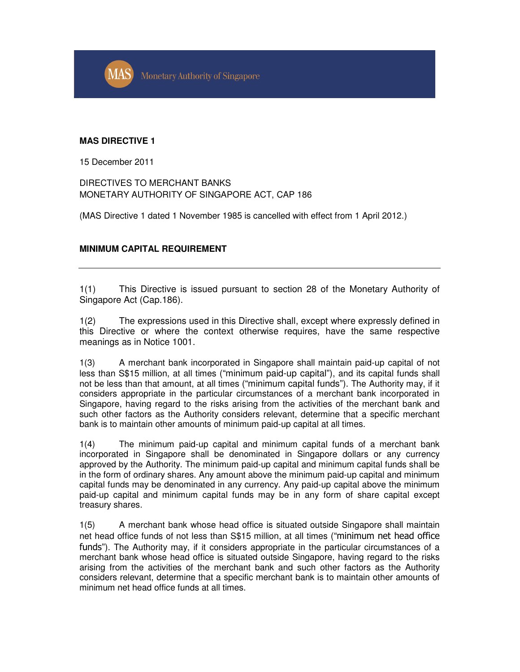**MAS Monetary Authority of Singapore** 

## **MAS DIRECTIVE 1**

15 December 2011

DIRECTIVES TO MERCHANT BANKS MONETARY AUTHORITY OF SINGAPORE ACT, CAP 186

(MAS Directive 1 dated 1 November 1985 is cancelled with effect from 1 April 2012.)

## **MINIMUM CAPITAL REQUIREMENT**

1(1) This Directive is issued pursuant to section 28 of the Monetary Authority of Singapore Act (Cap.186).

1(2) The expressions used in this Directive shall, except where expressly defined in this Directive or where the context otherwise requires, have the same respective meanings as in Notice 1001.

1(3) A merchant bank incorporated in Singapore shall maintain paid-up capital of not less than S\$15 million, at all times ("minimum paid-up capital"), and its capital funds shall not be less than that amount, at all times ("minimum capital funds"). The Authority may, if it considers appropriate in the particular circumstances of a merchant bank incorporated in Singapore, having regard to the risks arising from the activities of the merchant bank and such other factors as the Authority considers relevant, determine that a specific merchant bank is to maintain other amounts of minimum paid-up capital at all times.

1(4) The minimum paid-up capital and minimum capital funds of a merchant bank incorporated in Singapore shall be denominated in Singapore dollars or any currency approved by the Authority. The minimum paid-up capital and minimum capital funds shall be in the form of ordinary shares. Any amount above the minimum paid-up capital and minimum capital funds may be denominated in any currency. Any paid-up capital above the minimum paid-up capital and minimum capital funds may be in any form of share capital except treasury shares.

1(5) A merchant bank whose head office is situated outside Singapore shall maintain net head office funds of not less than S\$15 million, at all times ("minimum net head office funds"). The Authority may, if it considers appropriate in the particular circumstances of a merchant bank whose head office is situated outside Singapore, having regard to the risks arising from the activities of the merchant bank and such other factors as the Authority considers relevant, determine that a specific merchant bank is to maintain other amounts of minimum net head office funds at all times.